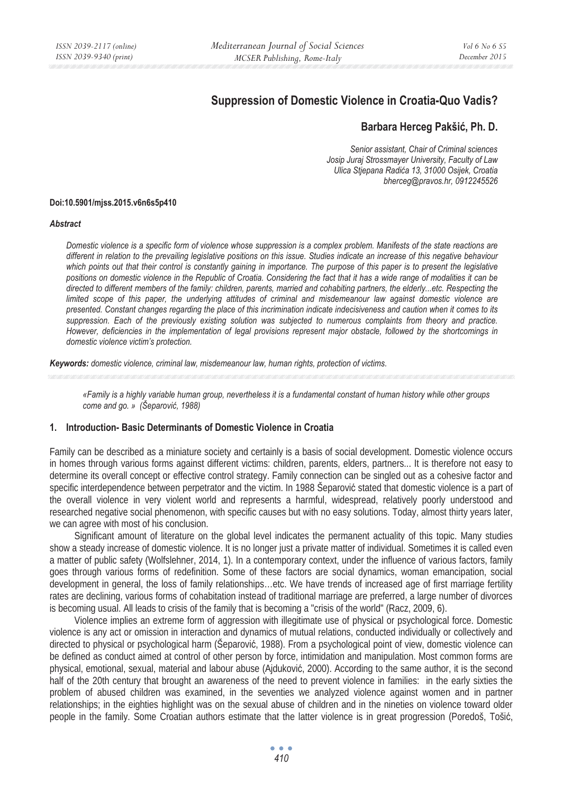# **Suppression of Domestic Violence in Croatia-Quo Vadis?**

# **Barbara Herceg Pakšiý, Ph. D.**

*Senior assistant, Chair of Criminal sciences Josip Juraj Strossmayer University, Faculty of Law Ulica Stjepana Radiüa 13, 31000 Osijek, Croatia bherceg@pravos.hr, 0912245526* 

#### **Doi:10.5901/mjss.2015.v6n6s5p410**

#### *Abstract*

*Domestic violence is a specific form of violence whose suppression is a complex problem. Manifests of the state reactions are different in relation to the prevailing legislative positions on this issue. Studies indicate an increase of this negative behaviour*  which points out that their control is constantly gaining in importance. The purpose of this paper is to present the legislative *positions on domestic violence in the Republic of Croatia. Considering the fact that it has a wide range of modalities it can be directed to different members of the family: children, parents, married and cohabiting partners, the elderly...etc. Respecting the limited scope of this paper, the underlying attitudes of criminal and misdemeanour law against domestic violence are presented. Constant changes regarding the place of this incrimination indicate indecisiveness and caution when it comes to its suppression. Each of the previously existing solution was subjected to numerous complaints from theory and practice. However, deficiencies in the implementation of legal provisions represent major obstacle, followed by the shortcomings in domestic violence victim's protection.* 

*Keywords: domestic violence, criminal law, misdemeanour law, human rights, protection of victims.* 

*«Family is a highly variable human group, nevertheless it is a fundamental constant of human history while other groups come and go. » (Šeparoviü, 1988)* 

#### **1. Introduction- Basic Determinants of Domestic Violence in Croatia**

Family can be described as a miniature society and certainly is a basis of social development. Domestic violence occurs in homes through various forms against different victims: children, parents, elders, partners... It is therefore not easy to determine its overall concept or effective control strategy. Family connection can be singled out as a cohesive factor and specific interdependence between perpetrator and the victim. In 1988 Šeparović stated that domestic violence is a part of the overall violence in very violent world and represents a harmful, widespread, relatively poorly understood and researched negative social phenomenon, with specific causes but with no easy solutions. Today, almost thirty years later, we can agree with most of his conclusion.

Significant amount of literature on the global level indicates the permanent actuality of this topic. Many studies show a steady increase of domestic violence. It is no longer just a private matter of individual. Sometimes it is called even a matter of public safety (Wolfslehner, 2014, 1). In a contemporary context, under the influence of various factors, family goes through various forms of redefinition. Some of these factors are social dynamics, woman emancipation, social development in general, the loss of family relationships…etc. We have trends of increased age of first marriage fertility rates are declining, various forms of cohabitation instead of traditional marriage are preferred, a large number of divorces is becoming usual. All leads to crisis of the family that is becoming a "crisis of the world" (Racz, 2009, 6).

Violence implies an extreme form of aggression with illegitimate use of physical or psychological force. Domestic violence is any act or omission in interaction and dynamics of mutual relations, conducted individually or collectively and directed to physical or psychological harm (Šeparović, 1988). From a psychological point of view, domestic violence can be defined as conduct aimed at control of other person by force, intimidation and manipulation. Most common forms are physical, emotional, sexual, material and labour abuse (Ajduković, 2000). According to the same author, it is the second half of the 20th century that brought an awareness of the need to prevent violence in families: in the early sixties the problem of abused children was examined, in the seventies we analyzed violence against women and in partner relationships; in the eighties highlight was on the sexual abuse of children and in the nineties on violence toward older people in the family. Some Croatian authors estimate that the latter violence is in great progression (Poredoš, Tošić,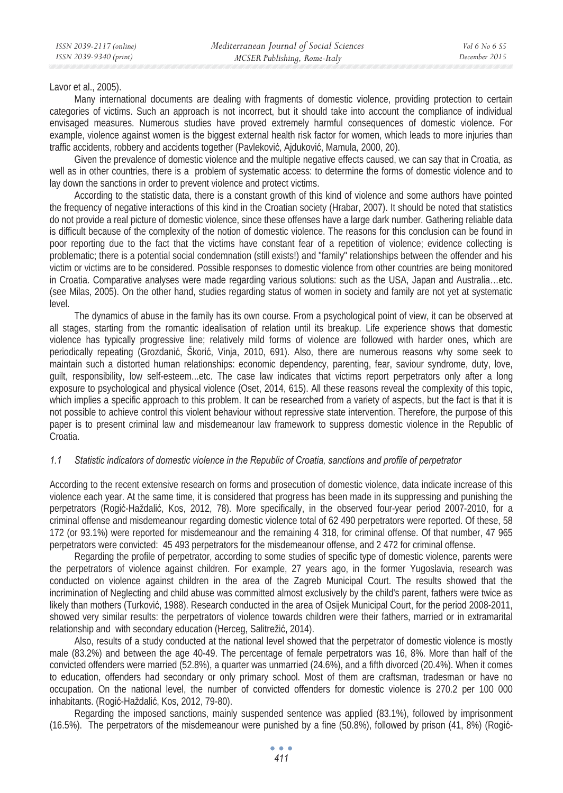Lavor et al., 2005).

Many international documents are dealing with fragments of domestic violence, providing protection to certain categories of victims. Such an approach is not incorrect, but it should take into account the compliance of individual envisaged measures. Numerous studies have proved extremely harmful consequences of domestic violence. For example, violence against women is the biggest external health risk factor for women, which leads to more injuries than traffic accidents, robbery and accidents together (Pavleković, Ajduković, Mamula, 2000, 20).

Given the prevalence of domestic violence and the multiple negative effects caused, we can say that in Croatia, as well as in other countries, there is a problem of systematic access: to determine the forms of domestic violence and to lay down the sanctions in order to prevent violence and protect victims.

According to the statistic data, there is a constant growth of this kind of violence and some authors have pointed the frequency of negative interactions of this kind in the Croatian society (Hrabar, 2007). It should be noted that statistics do not provide a real picture of domestic violence, since these offenses have a large dark number. Gathering reliable data is difficult because of the complexity of the notion of domestic violence. The reasons for this conclusion can be found in poor reporting due to the fact that the victims have constant fear of a repetition of violence; evidence collecting is problematic; there is a potential social condemnation (still exists!) and "family" relationships between the offender and his victim or victims are to be considered. Possible responses to domestic violence from other countries are being monitored in Croatia. Comparative analyses were made regarding various solutions: such as the USA, Japan and Australia…etc. (see Milas, 2005). On the other hand, studies regarding status of women in society and family are not yet at systematic level.

The dynamics of abuse in the family has its own course. From a psychological point of view, it can be observed at all stages, starting from the romantic idealisation of relation until its breakup. Life experience shows that domestic violence has typically progressive line; relatively mild forms of violence are followed with harder ones, which are periodically repeating (Grozdanić, Škorić, Vinja, 2010, 691). Also, there are numerous reasons why some seek to maintain such a distorted human relationships: economic dependency, parenting, fear, saviour syndrome, duty, love, guilt, responsibility, low self-esteem...etc. The case law indicates that victims report perpetrators only after a long exposure to psychological and physical violence (Oset, 2014, 615). All these reasons reveal the complexity of this topic, which implies a specific approach to this problem. It can be researched from a variety of aspects, but the fact is that it is not possible to achieve control this violent behaviour without repressive state intervention. Therefore, the purpose of this paper is to present criminal law and misdemeanour law framework to suppress domestic violence in the Republic of Croatia.

#### *1.1 Statistic indicators of domestic violence in the Republic of Croatia, sanctions and profile of perpetrator*

According to the recent extensive research on forms and prosecution of domestic violence, data indicate increase of this violence each year. At the same time, it is considered that progress has been made in its suppressing and punishing the perpetrators (Rogić-Haždalić, Kos, 2012, 78). More specifically, in the observed four-year period 2007-2010, for a criminal offense and misdemeanour regarding domestic violence total of 62 490 perpetrators were reported. Of these, 58 172 (or 93.1%) were reported for misdemeanour and the remaining 4 318, for criminal offense. Of that number, 47 965 perpetrators were convicted: 45 493 perpetrators for the misdemeanour offense, and 2 472 for criminal offense.

Regarding the profile of perpetrator, according to some studies of specific type of domestic violence, parents were the perpetrators of violence against children. For example, 27 years ago, in the former Yugoslavia, research was conducted on violence against children in the area of the Zagreb Municipal Court. The results showed that the incrimination of Neglecting and child abuse was committed almost exclusively by the child's parent, fathers were twice as likely than mothers (Turković, 1988). Research conducted in the area of Osijek Municipal Court, for the period 2008-2011, showed very similar results: the perpetrators of violence towards children were their fathers, married or in extramarital relationship and with secondary education (Herceg, Salitrežić, 2014).

Also, results of a study conducted at the national level showed that the perpetrator of domestic violence is mostly male (83.2%) and between the age 40-49. The percentage of female perpetrators was 16, 8%. More than half of the convicted offenders were married (52.8%), a quarter was unmarried (24.6%), and a fifth divorced (20.4%). When it comes to education, offenders had secondary or only primary school. Most of them are craftsman, tradesman or have no occupation. On the national level, the number of convicted offenders for domestic violence is 270.2 per 100 000 inhabitants. (Rogić-Haždalić, Kos, 2012, 79-80).

Regarding the imposed sanctions, mainly suspended sentence was applied (83.1%), followed by imprisonment (16.5%). The perpetrators of the misdemeanour were punished by a fine (50.8%), followed by prison (41, 8%) (Rogiü-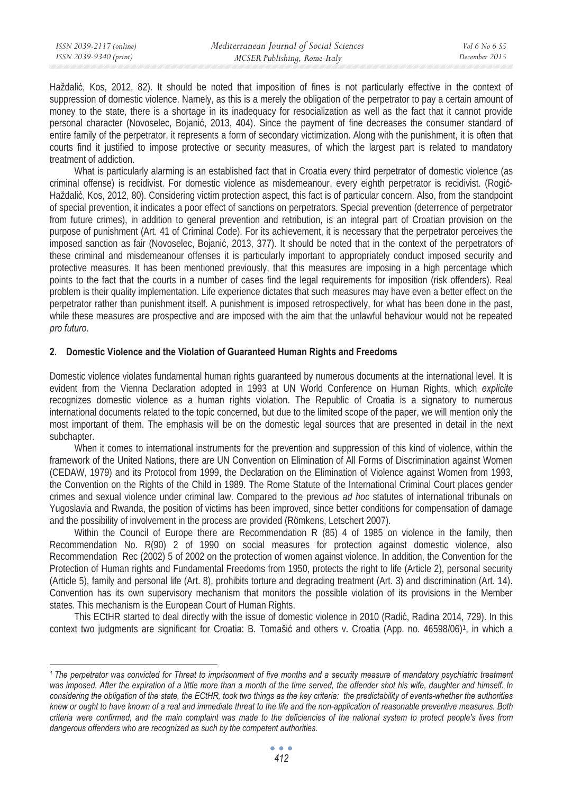Haždalić, Kos, 2012, 82). It should be noted that imposition of fines is not particularly effective in the context of suppression of domestic violence. Namely, as this is a merely the obligation of the perpetrator to pay a certain amount of money to the state, there is a shortage in its inadequacy for resocialization as well as the fact that it cannot provide personal character (Novoselec, Bojanić, 2013, 404). Since the payment of fine decreases the consumer standard of entire family of the perpetrator, it represents a form of secondary victimization. Along with the punishment, it is often that courts find it justified to impose protective or security measures, of which the largest part is related to mandatory treatment of addiction.

What is particularly alarming is an established fact that in Croatia every third perpetrator of domestic violence (as criminal offense) is recidivist. For domestic violence as misdemeanour, every eighth perpetrator is recidivist. (Rogić-Haždalić, Kos, 2012, 80). Considering victim protection aspect, this fact is of particular concern. Also, from the standpoint of special prevention, it indicates a poor effect of sanctions on perpetrators. Special prevention (deterrence of perpetrator from future crimes), in addition to general prevention and retribution, is an integral part of Croatian provision on the purpose of punishment (Art. 41 of Criminal Code). For its achievement, it is necessary that the perpetrator perceives the imposed sanction as fair (Novoselec, Bojanić, 2013, 377). It should be noted that in the context of the perpetrators of these criminal and misdemeanour offenses it is particularly important to appropriately conduct imposed security and protective measures. It has been mentioned previously, that this measures are imposing in a high percentage which points to the fact that the courts in a number of cases find the legal requirements for imposition (risk offenders). Real problem is their quality implementation. Life experience dictates that such measures may have even a better effect on the perpetrator rather than punishment itself. A punishment is imposed retrospectively, for what has been done in the past, while these measures are prospective and are imposed with the aim that the unlawful behaviour would not be repeated *pro futuro.* 

### **2. Domestic Violence and the Violation of Guaranteed Human Rights and Freedoms**

Domestic violence violates fundamental human rights guaranteed by numerous documents at the international level. It is evident from the Vienna Declaration adopted in 1993 at UN World Conference on Human Rights, which *explicite* recognizes domestic violence as a human rights violation. The Republic of Croatia is a signatory to numerous international documents related to the topic concerned, but due to the limited scope of the paper, we will mention only the most important of them. The emphasis will be on the domestic legal sources that are presented in detail in the next subchapter.

When it comes to international instruments for the prevention and suppression of this kind of violence, within the framework of the United Nations, there are UN Convention on Elimination of All Forms of Discrimination against Women (CEDAW, 1979) and its Protocol from 1999, the Declaration on the Elimination of Violence against Women from 1993, the Convention on the Rights of the Child in 1989. The Rome Statute of the International Criminal Court places gender crimes and sexual violence under criminal law. Compared to the previous *ad hoc* statutes of international tribunals on Yugoslavia and Rwanda, the position of victims has been improved, since better conditions for compensation of damage and the possibility of involvement in the process are provided (Römkens, Letschert 2007).

Within the Council of Europe there are Recommendation R (85) 4 of 1985 on violence in the family, then Recommendation No. R(90) 2 of 1990 on social measures for protection against domestic violence, also Recommendation Rec (2002) 5 of 2002 on the protection of women against violence. In addition, the Convention for the Protection of Human rights and Fundamental Freedoms from 1950, protects the right to life (Article 2), personal security (Article 5), family and personal life (Art. 8), prohibits torture and degrading treatment (Art. 3) and discrimination (Art. 14). Convention has its own supervisory mechanism that monitors the possible violation of its provisions in the Member states. This mechanism is the European Court of Human Rights.

This ECtHR started to deal directly with the issue of domestic violence in 2010 (Radić, Radina 2014, 729). In this context two judgments are significant for Croatia: B. Tomašić and others v. Croatia (App. no.  $46598/06$ )<sup>1</sup>, in which a

*<sup>1</sup> The perpetrator was convicted for Threat to imprisonment of five months and a security measure of mandatory psychiatric treatment was imposed. After the expiration of a little more than a month of the time served, the offender shot his wife, daughter and himself. In considering the obligation of the state, the ECtHR, took two things as the key criteria: the predictability of events-whether the authorities knew or ought to have known of a real and immediate threat to the life and the non-application of reasonable preventive measures. Both criteria were confirmed, and the main complaint was made to the deficiencies of the national system to protect people's lives from dangerous offenders who are recognized as such by the competent authorities.*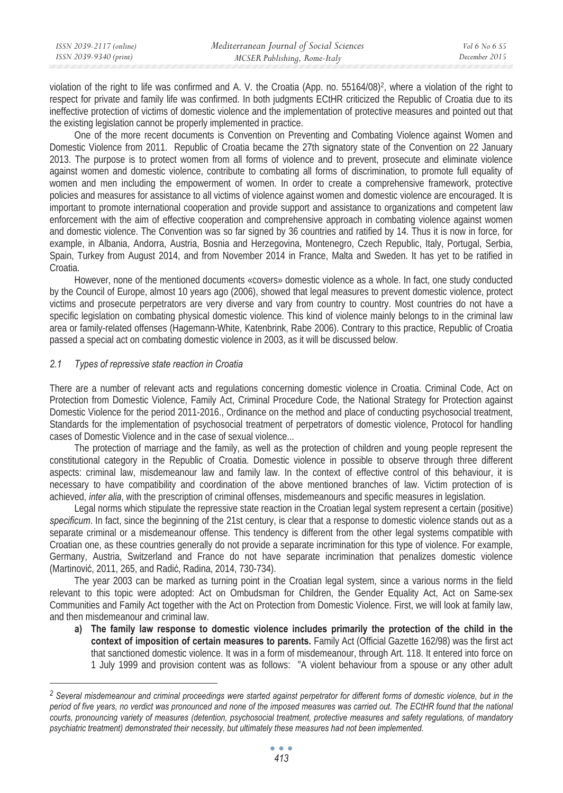| ISSN 2039-9340 (print)<br>MCSER Publishing, Rome-Italy | December 2015 |
|--------------------------------------------------------|---------------|

violation of the right to life was confirmed and A. V. the Croatia (App. no. 55164/08)2, where a violation of the right to respect for private and family life was confirmed. In both judgments ECtHR criticized the Republic of Croatia due to its ineffective protection of victims of domestic violence and the implementation of protective measures and pointed out that the existing legislation cannot be properly implemented in practice.

One of the more recent documents is Convention on Preventing and Combating Violence against Women and Domestic Violence from 2011. Republic of Croatia became the 27th signatory state of the Convention on 22 January 2013. The purpose is to protect women from all forms of violence and to prevent, prosecute and eliminate violence against women and domestic violence, contribute to combating all forms of discrimination, to promote full equality of women and men including the empowerment of women. In order to create a comprehensive framework, protective policies and measures for assistance to all victims of violence against women and domestic violence are encouraged. It is important to promote international cooperation and provide support and assistance to organizations and competent law enforcement with the aim of effective cooperation and comprehensive approach in combating violence against women and domestic violence. The Convention was so far signed by 36 countries and ratified by 14. Thus it is now in force, for example, in Albania, Andorra, Austria, Bosnia and Herzegovina, Montenegro, Czech Republic, Italy, Portugal, Serbia, Spain, Turkey from August 2014, and from November 2014 in France, Malta and Sweden. It has yet to be ratified in Croatia.

However, none of the mentioned documents «covers» domestic violence as a whole. In fact, one study conducted by the Council of Europe, almost 10 years ago (2006), showed that legal measures to prevent domestic violence, protect victims and prosecute perpetrators are very diverse and vary from country to country. Most countries do not have a specific legislation on combating physical domestic violence. This kind of violence mainly belongs to in the criminal law area or family-related offenses (Hagemann-White, Katenbrink, Rabe 2006). Contrary to this practice, Republic of Croatia passed a special act on combating domestic violence in 2003, as it will be discussed below.

#### *2.1 Types of repressive state reaction in Croatia*

There are a number of relevant acts and regulations concerning domestic violence in Croatia. Criminal Code, Act on Protection from Domestic Violence, Family Act, Criminal Procedure Code, the National Strategy for Protection against Domestic Violence for the period 2011-2016., Ordinance on the method and place of conducting psychosocial treatment, Standards for the implementation of psychosocial treatment of perpetrators of domestic violence, Protocol for handling cases of Domestic Violence and in the case of sexual violence...

The protection of marriage and the family, as well as the protection of children and young people represent the constitutional category in the Republic of Croatia. Domestic violence in possible to observe through three different aspects: criminal law, misdemeanour law and family law. In the context of effective control of this behaviour, it is necessary to have compatibility and coordination of the above mentioned branches of law. Victim protection of is achieved, *inter alia*, with the prescription of criminal offenses, misdemeanours and specific measures in legislation.

Legal norms which stipulate the repressive state reaction in the Croatian legal system represent a certain (positive) *specificum*. In fact, since the beginning of the 21st century, is clear that a response to domestic violence stands out as a separate criminal or a misdemeanour offense. This tendency is different from the other legal systems compatible with Croatian one, as these countries generally do not provide a separate incrimination for this type of violence. For example, Germany, Austria, Switzerland and France do not have separate incrimination that penalizes domestic violence (Martinović, 2011, 265, and Radić, Radina, 2014, 730-734).

The year 2003 can be marked as turning point in the Croatian legal system, since a various norms in the field relevant to this topic were adopted: Act on Ombudsman for Children, the Gender Equality Act, Act on Same-sex Communities and Family Act together with the Act on Protection from Domestic Violence. First, we will look at family law, and then misdemeanour and criminal law.

**a) The family law response to domestic violence includes primarily the protection of the child in the context of imposition of certain measures to parents.** Family Act (Official Gazette 162/98) was the first act that sanctioned domestic violence. It was in a form of misdemeanour, through Art. 118. It entered into force on 1 July 1999 and provision content was as follows: "A violent behaviour from a spouse or any other adult

*<sup>2</sup> Several misdemeanour and criminal proceedings were started against perpetrator for different forms of domestic violence, but in the period of five years, no verdict was pronounced and none of the imposed measures was carried out. The ECtHR found that the national courts, pronouncing variety of measures (detention, psychosocial treatment, protective measures and safety regulations, of mandatory psychiatric treatment) demonstrated their necessity, but ultimately these measures had not been implemented.*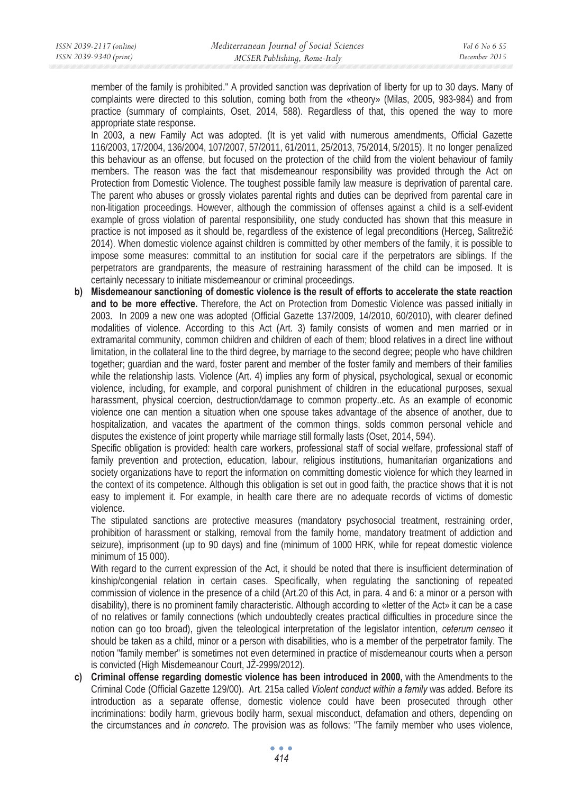member of the family is prohibited." A provided sanction was deprivation of liberty for up to 30 days. Many of complaints were directed to this solution, coming both from the «theory» (Milas, 2005, 983-984) and from practice (summary of complaints, Oset, 2014, 588). Regardless of that, this opened the way to more appropriate state response.

In 2003, a new Family Act was adopted. (It is yet valid with numerous amendments, Official Gazette 116/2003, 17/2004, 136/2004, 107/2007, 57/2011, 61/2011, 25/2013, 75/2014, 5/2015). It no longer penalized this behaviour as an offense, but focused on the protection of the child from the violent behaviour of family members. The reason was the fact that misdemeanour responsibility was provided through the Act on Protection from Domestic Violence. The toughest possible family law measure is deprivation of parental care. The parent who abuses or grossly violates parental rights and duties can be deprived from parental care in non-litigation proceedings. However, although the commission of offenses against a child is a self-evident example of gross violation of parental responsibility, one study conducted has shown that this measure in practice is not imposed as it should be, regardless of the existence of legal preconditions (Herceg, Salitrežić 2014). When domestic violence against children is committed by other members of the family, it is possible to impose some measures: committal to an institution for social care if the perpetrators are siblings. If the perpetrators are grandparents, the measure of restraining harassment of the child can be imposed. It is certainly necessary to initiate misdemeanour or criminal proceedings.

**b) Misdemeanour sanctioning of domestic violence is the result of efforts to accelerate the state reaction and to be more effective.** Therefore, the Act on Protection from Domestic Violence was passed initially in 2003. In 2009 a new one was adopted (Official Gazette 137/2009, 14/2010, 60/2010), with clearer defined modalities of violence. According to this Act (Art. 3) family consists of women and men married or in extramarital community, common children and children of each of them; blood relatives in a direct line without limitation, in the collateral line to the third degree, by marriage to the second degree; people who have children together; guardian and the ward, foster parent and member of the foster family and members of their families while the relationship lasts. Violence (Art. 4) implies any form of physical, psychological, sexual or economic violence, including, for example, and corporal punishment of children in the educational purposes, sexual harassment, physical coercion, destruction/damage to common property..etc. As an example of economic violence one can mention a situation when one spouse takes advantage of the absence of another, due to hospitalization, and vacates the apartment of the common things, solds common personal vehicle and disputes the existence of joint property while marriage still formally lasts (Oset, 2014, 594).

Specific obligation is provided: health care workers, professional staff of social welfare, professional staff of family prevention and protection, education, labour, religious institutions, humanitarian organizations and society organizations have to report the information on committing domestic violence for which they learned in the context of its competence. Although this obligation is set out in good faith, the practice shows that it is not easy to implement it. For example, in health care there are no adequate records of victims of domestic violence.

The stipulated sanctions are protective measures (mandatory psychosocial treatment, restraining order, prohibition of harassment or stalking, removal from the family home, mandatory treatment of addiction and seizure), imprisonment (up to 90 days) and fine (minimum of 1000 HRK, while for repeat domestic violence minimum of 15 000).

With regard to the current expression of the Act, it should be noted that there is insufficient determination of kinship/congenial relation in certain cases. Specifically, when regulating the sanctioning of repeated commission of violence in the presence of a child (Art.20 of this Act, in para. 4 and 6: a minor or a person with disability), there is no prominent family characteristic. Although according to «letter of the Act» it can be a case of no relatives or family connections (which undoubtedly creates practical difficulties in procedure since the notion can go too broad), given the teleological interpretation of the legislator intention, *ceterum censeo* it should be taken as a child, minor or a person with disabilities, who is a member of the perpetrator family. The notion "family member" is sometimes not even determined in practice of misdemeanour courts when a person is convicted (High Misdemeanour Court, JŽ-2999/2012).

**c) Criminal offense regarding domestic violence has been introduced in 2000,** with the Amendments to the Criminal Code (Official Gazette 129/00). Art. 215a called *Violent conduct within a family* was added. Before its introduction as a separate offense, domestic violence could have been prosecuted through other incriminations: bodily harm, grievous bodily harm, sexual misconduct, defamation and others, depending on the circumstances and *in concreto*. The provision was as follows: "The family member who uses violence,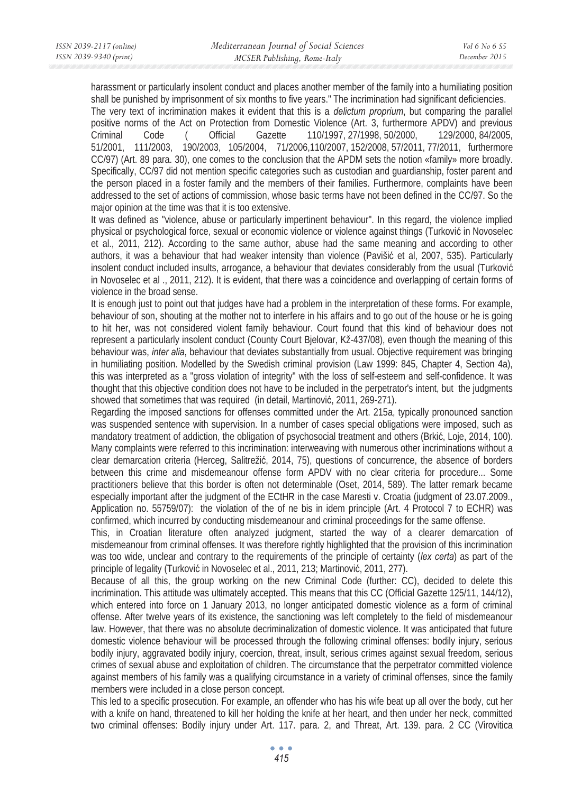harassment or particularly insolent conduct and places another member of the family into a humiliating position shall be punished by imprisonment of six months to five years." The incrimination had significant deficiencies. The very text of incrimination makes it evident that this is a *delictum proprium*, but comparing the parallel positive norms of the Act on Protection from Domestic Violence (Art. 3, furthermore APDV) and previous Criminal Code ( Official Gazette 110/1997, 27/1998, 50/2000, 129/2000, 84/2005, 51/2001, 111/2003, 190/2003, 105/2004, 71/2006,110/2007, 152/2008, 57/2011, 77/2011, furthermore CC/97) (Art. 89 para. 30), one comes to the conclusion that the APDM sets the notion «family» more broadly. Specifically, CC/97 did not mention specific categories such as custodian and guardianship, foster parent and the person placed in a foster family and the members of their families. Furthermore, complaints have been addressed to the set of actions of commission, whose basic terms have not been defined in the CC/97. So the major opinion at the time was that it is too extensive.

It was defined as "violence, abuse or particularly impertinent behaviour". In this regard, the violence implied physical or psychological force, sexual or economic violence or violence against things (Turković in Novoselec et al., 2011, 212). According to the same author, abuse had the same meaning and according to other authors, it was a behaviour that had weaker intensity than violence (Pavišić et al, 2007, 535). Particularly insolent conduct included insults, arrogance, a behaviour that deviates considerably from the usual (Turković in Novoselec et al ., 2011, 212). It is evident, that there was a coincidence and overlapping of certain forms of violence in the broad sense.

It is enough just to point out that judges have had a problem in the interpretation of these forms. For example, behaviour of son, shouting at the mother not to interfere in his affairs and to go out of the house or he is going to hit her, was not considered violent family behaviour. Court found that this kind of behaviour does not represent a particularly insolent conduct (County Court Bjelovar, Kž-437/08), even though the meaning of this behaviour was, *inter alia*, behaviour that deviates substantially from usual. Objective requirement was bringing in humiliating position. Modelled by the Swedish criminal provision (Law 1999: 845, Chapter 4, Section 4a), this was interpreted as a "gross violation of integrity" with the loss of self-esteem and self-confidence. It was thought that this objective condition does not have to be included in the perpetrator's intent, but the judgments showed that sometimes that was required (in detail, Martinović, 2011, 269-271).

Regarding the imposed sanctions for offenses committed under the Art. 215a, typically pronounced sanction was suspended sentence with supervision. In a number of cases special obligations were imposed, such as mandatory treatment of addiction, the obligation of psychosocial treatment and others (Brkić, Loje, 2014, 100). Many complaints were referred to this incrimination: interweaving with numerous other incriminations without a clear demarcation criteria (Herceg, Salitrežić, 2014, 75), questions of concurrence, the absence of borders between this crime and misdemeanour offense form APDV with no clear criteria for procedure... Some practitioners believe that this border is often not determinable (Oset, 2014, 589). The latter remark became especially important after the judgment of the ECtHR in the case Maresti v. Croatia (judgment of 23.07.2009., Application no. 55759/07): the violation of the of ne bis in idem principle (Art. 4 Protocol 7 to ECHR) was confirmed, which incurred by conducting misdemeanour and criminal proceedings for the same offense.

This, in Croatian literature often analyzed judgment, started the way of a clearer demarcation of misdemeanour from criminal offenses. It was therefore rightly highlighted that the provision of this incrimination was too wide, unclear and contrary to the requirements of the principle of certainty (*lex certa*) as part of the principle of legality (Turković in Novoselec et al., 2011, 213; Martinović, 2011, 277).

Because of all this, the group working on the new Criminal Code (further: CC), decided to delete this incrimination. This attitude was ultimately accepted. This means that this CC (Official Gazette 125/11, 144/12), which entered into force on 1 January 2013, no longer anticipated domestic violence as a form of criminal offense. After twelve years of its existence, the sanctioning was left completely to the field of misdemeanour law. However, that there was no absolute decriminalization of domestic violence. It was anticipated that future domestic violence behaviour will be processed through the following criminal offenses: bodily injury, serious bodily injury, aggravated bodily injury, coercion, threat, insult, serious crimes against sexual freedom, serious crimes of sexual abuse and exploitation of children. The circumstance that the perpetrator committed violence against members of his family was a qualifying circumstance in a variety of criminal offenses, since the family members were included in a close person concept.

This led to a specific prosecution. For example, an offender who has his wife beat up all over the body, cut her with a knife on hand, threatened to kill her holding the knife at her heart, and then under her neck, committed two criminal offenses: Bodily injury under Art. 117. para. 2, and Threat, Art. 139. para. 2 CC (Virovitica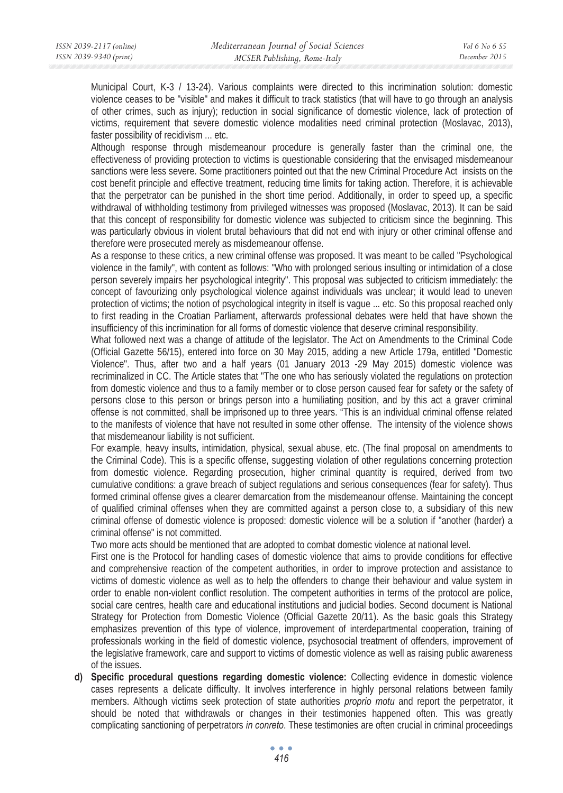Municipal Court, K-3 / 13-24). Various complaints were directed to this incrimination solution: domestic violence ceases to be "visible" and makes it difficult to track statistics (that will have to go through an analysis of other crimes, such as injury); reduction in social significance of domestic violence, lack of protection of victims, requirement that severe domestic violence modalities need criminal protection (Moslavac, 2013), faster possibility of recidivism ... etc.

Although response through misdemeanour procedure is generally faster than the criminal one, the effectiveness of providing protection to victims is questionable considering that the envisaged misdemeanour sanctions were less severe. Some practitioners pointed out that the new Criminal Procedure Act insists on the cost benefit principle and effective treatment, reducing time limits for taking action. Therefore, it is achievable that the perpetrator can be punished in the short time period. Additionally, in order to speed up, a specific withdrawal of withholding testimony from privileged witnesses was proposed (Moslavac, 2013). It can be said that this concept of responsibility for domestic violence was subjected to criticism since the beginning. This was particularly obvious in violent brutal behaviours that did not end with injury or other criminal offense and therefore were prosecuted merely as misdemeanour offense.

As a response to these critics, a new criminal offense was proposed. It was meant to be called "Psychological violence in the family", with content as follows: "Who with prolonged serious insulting or intimidation of a close person severely impairs her psychological integrity". This proposal was subjected to criticism immediately: the concept of favourizing only psychological violence against individuals was unclear; it would lead to uneven protection of victims; the notion of psychological integrity in itself is vague ... etc. So this proposal reached only to first reading in the Croatian Parliament, afterwards professional debates were held that have shown the insufficiency of this incrimination for all forms of domestic violence that deserve criminal responsibility.

What followed next was a change of attitude of the legislator. The Act on Amendments to the Criminal Code (Official Gazette 56/15), entered into force on 30 May 2015, adding a new Article 179a, entitled "Domestic Violence". Thus, after two and a half years (01 January 2013 -29 May 2015) domestic violence was recriminalized in CC. The Article states that "The one who has seriously violated the regulations on protection from domestic violence and thus to a family member or to close person caused fear for safety or the safety of persons close to this person or brings person into a humiliating position, and by this act a graver criminal offense is not committed, shall be imprisoned up to three years. "This is an individual criminal offense related to the manifests of violence that have not resulted in some other offense. The intensity of the violence shows that misdemeanour liability is not sufficient.

For example, heavy insults, intimidation, physical, sexual abuse, etc. (The final proposal on amendments to the Criminal Code). This is a specific offense, suggesting violation of other regulations concerning protection from domestic violence. Regarding prosecution, higher criminal quantity is required, derived from two cumulative conditions: a grave breach of subject regulations and serious consequences (fear for safety). Thus formed criminal offense gives a clearer demarcation from the misdemeanour offense. Maintaining the concept of qualified criminal offenses when they are committed against a person close to, a subsidiary of this new criminal offense of domestic violence is proposed: domestic violence will be a solution if "another (harder) a criminal offense" is not committed.

Two more acts should be mentioned that are adopted to combat domestic violence at national level.

First one is the Protocol for handling cases of domestic violence that aims to provide conditions for effective and comprehensive reaction of the competent authorities, in order to improve protection and assistance to victims of domestic violence as well as to help the offenders to change their behaviour and value system in order to enable non-violent conflict resolution. The competent authorities in terms of the protocol are police, social care centres, health care and educational institutions and judicial bodies. Second document is National Strategy for Protection from Domestic Violence (Official Gazette 20/11). As the basic goals this Strategy emphasizes prevention of this type of violence, improvement of interdepartmental cooperation, training of professionals working in the field of domestic violence, psychosocial treatment of offenders, improvement of the legislative framework, care and support to victims of domestic violence as well as raising public awareness of the issues.

**d) Specific procedural questions regarding domestic violence:** Collecting evidence in domestic violence cases represents a delicate difficulty. It involves interference in highly personal relations between family members. Although victims seek protection of state authorities *proprio motu* and report the perpetrator, it should be noted that withdrawals or changes in their testimonies happened often. This was greatly complicating sanctioning of perpetrators *in conreto*. These testimonies are often crucial in criminal proceedings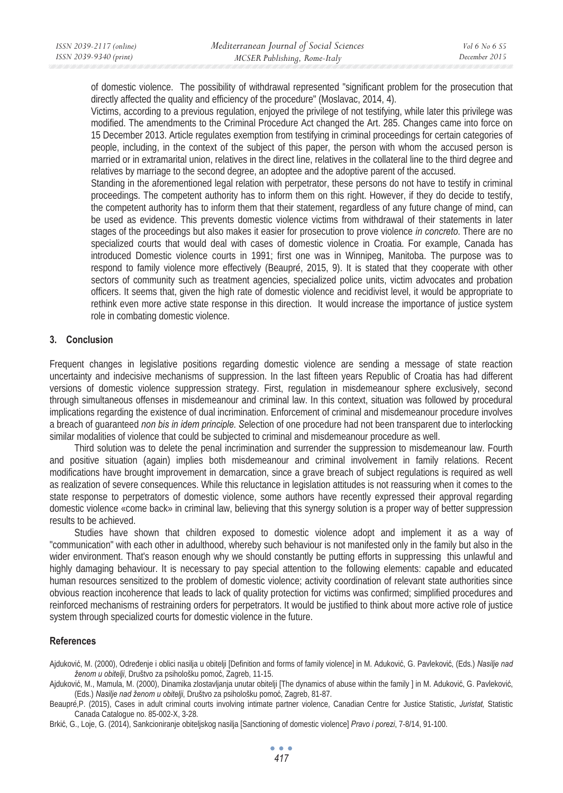of domestic violence. The possibility of withdrawal represented "significant problem for the prosecution that directly affected the quality and efficiency of the procedure" (Moslavac, 2014, 4).

Victims, according to a previous regulation, enjoyed the privilege of not testifying, while later this privilege was modified. The amendments to the Criminal Procedure Act changed the Art. 285. Changes came into force on 15 December 2013. Article regulates exemption from testifying in criminal proceedings for certain categories of people, including, in the context of the subject of this paper, the person with whom the accused person is married or in extramarital union, relatives in the direct line, relatives in the collateral line to the third degree and relatives by marriage to the second degree, an adoptee and the adoptive parent of the accused.

Standing in the aforementioned legal relation with perpetrator, these persons do not have to testify in criminal proceedings. The competent authority has to inform them on this right. However, if they do decide to testify, the competent authority has to inform them that their statement, regardless of any future change of mind, can be used as evidence. This prevents domestic violence victims from withdrawal of their statements in later stages of the proceedings but also makes it easier for prosecution to prove violence *in concreto*. There are no specialized courts that would deal with cases of domestic violence in Croatia. For example, Canada has introduced Domestic violence courts in 1991; first one was in Winnipeg, Manitoba. The purpose was to respond to family violence more effectively (Beaupré, 2015, 9). It is stated that they cooperate with other sectors of community such as treatment agencies, specialized police units, victim advocates and probation officers. It seems that, given the high rate of domestic violence and recidivist level, it would be appropriate to rethink even more active state response in this direction. It would increase the importance of justice system role in combating domestic violence.

## **3. Conclusion**

Frequent changes in legislative positions regarding domestic violence are sending a message of state reaction uncertainty and indecisive mechanisms of suppression. In the last fifteen years Republic of Croatia has had different versions of domestic violence suppression strategy. First, regulation in misdemeanour sphere exclusively, second through simultaneous offenses in misdemeanour and criminal law. In this context, situation was followed by procedural implications regarding the existence of dual incrimination. Enforcement of criminal and misdemeanour procedure involves a breach of guaranteed *non bis in idem principle. S*election of one procedure had not been transparent due to interlocking similar modalities of violence that could be subjected to criminal and misdemeanour procedure as well.

Third solution was to delete the penal incrimination and surrender the suppression to misdemeanour law. Fourth and positive situation (again) implies both misdemeanour and criminal involvement in family relations. Recent modifications have brought improvement in demarcation, since a grave breach of subject regulations is required as well as realization of severe consequences. While this reluctance in legislation attitudes is not reassuring when it comes to the state response to perpetrators of domestic violence, some authors have recently expressed their approval regarding domestic violence «come back» in criminal law, believing that this synergy solution is a proper way of better suppression results to be achieved.

Studies have shown that children exposed to domestic violence adopt and implement it as a way of "communication" with each other in adulthood, whereby such behaviour is not manifested only in the family but also in the wider environment. That's reason enough why we should constantly be putting efforts in suppressing this unlawful and highly damaging behaviour. It is necessary to pay special attention to the following elements: capable and educated human resources sensitized to the problem of domestic violence; activity coordination of relevant state authorities since obvious reaction incoherence that leads to lack of quality protection for victims was confirmed; simplified procedures and reinforced mechanisms of restraining orders for perpetrators. It would be justified to think about more active role of justice system through specialized courts for domestic violence in the future.

## **References**

Ajduković, M. (2000), Određenje i oblici nasilja u obitelji [Definition and forms of family violence] in M. Aduković, G. Pavleković, (Eds.) Nasilje nad ženom u obitelji, Društvo za psihološku pomoć, Zagreb, 11-15.

Ajduković, M., Mamula, M. (2000), Dinamika zlostavljanja unutar obitelji [The dynamics of abuse within the family ] in M. Aduković, G. Pavleković, (Eds.) *Nasilje nad ženom u obitelji*, Društvo za psihološku pomoć, Zagreb, 81-87.

Beaupré,P. (2015), Cases in adult criminal courts involving intimate partner violence, Canadian Centre for Justice Statistic, *Juristat,* Statistic Canada Catalogue no. 85-002-X, 3-28.

Brkiü, G., Loje, G. (2014), Sankcioniranje obiteljskog nasilja [Sanctioning of domestic violence] *Pravo i porezi*, 7-8/14, 91-100.